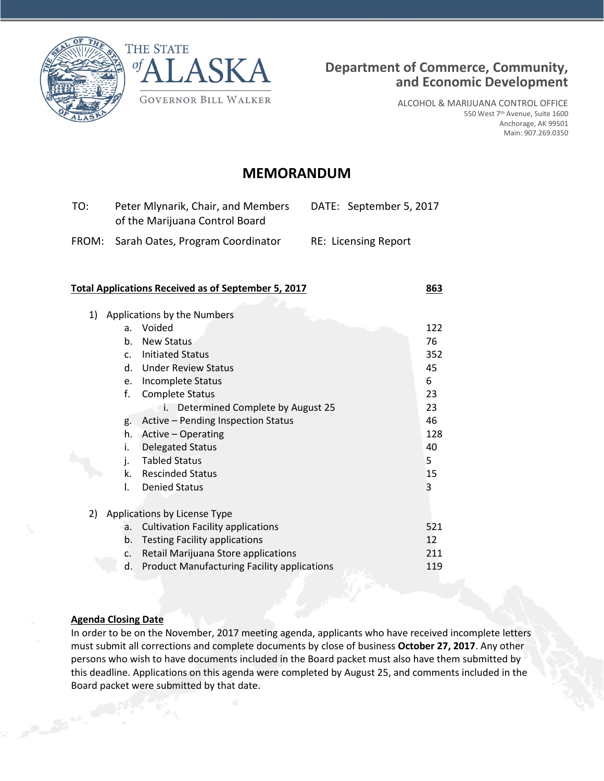



ALCOHOL & MARIJUANA CONTROL OFFICE 550 West 7th Avenue, Suite 1600 Anchorage, AK 99501 Main: 907.269.0350

# **MEMORANDUM**

| TO: | Peter Mlynarik, Chair, and Members<br>of the Marijuana Control Board | DATE: September 5, 2017     |
|-----|----------------------------------------------------------------------|-----------------------------|
|     | FROM: Sarah Oates, Program Coordinator                               | <b>RE: Licensing Report</b> |

#### **Total Applications Received as of September 5, 2017 863**

| 1) |             | Applications by the Numbers                        |     |
|----|-------------|----------------------------------------------------|-----|
|    | a.          | Voided                                             | 122 |
|    | b.          | <b>New Status</b>                                  | 76  |
|    | $C_{\star}$ | <b>Initiated Status</b>                            | 352 |
|    | d.          | <b>Under Review Status</b>                         | 45  |
|    | e.          | Incomplete Status                                  | 6   |
|    | f.          | <b>Complete Status</b>                             | 23  |
|    |             | Determined Complete by August 25<br>i.             | 23  |
|    | g.          | Active - Pending Inspection Status                 | 46  |
|    | h.          | Active - Operating                                 | 128 |
|    | i.          | <b>Delegated Status</b>                            | 40  |
|    | j.          | <b>Tabled Status</b>                               | 5.  |
|    | k.          | <b>Rescinded Status</b>                            | 15  |
|    | I.          | <b>Denied Status</b>                               | 3   |
|    |             |                                                    |     |
| 2) |             | Applications by License Type                       |     |
|    | a.          | <b>Cultivation Facility applications</b>           | 521 |
|    | b.          | <b>Testing Facility applications</b>               | 12  |
|    | c.          | Retail Marijuana Store applications                | 211 |
|    | d.          | <b>Product Manufacturing Facility applications</b> | 119 |
|    |             |                                                    |     |

## **Agenda Closing Date**

In order to be on the November, 2017 meeting agenda, applicants who have received incomplete letters must submit all corrections and complete documents by close of business **October 27, 2017**. Any other persons who wish to have documents included in the Board packet must also have them submitted by this deadline. Applications on this agenda were completed by August 25, and comments included in the Board packet were submitted by that date.